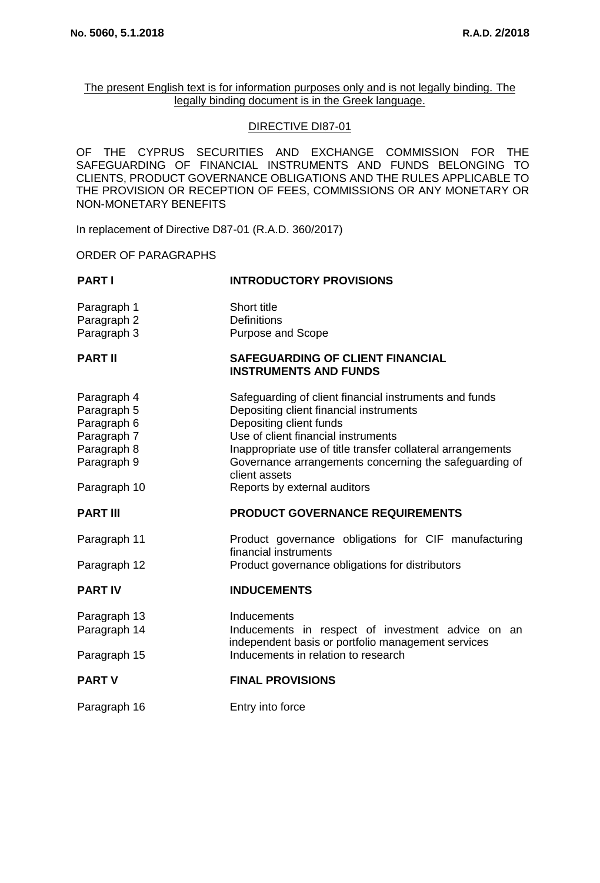The present English text is for information purposes only and is not legally binding. The legally binding document is in the Greek language.

# DIRECTIVE DI87-01

OF THE CYPRUS SECURITIES AND EXCHANGE COMMISSION FOR THE SAFEGUARDING OF FINANCIAL INSTRUMENTS AND FUNDS BELONGING TO CLIENTS, PRODUCT GOVERNANCE OBLIGATIONS AND THE RULES APPLICABLE TO THE PROVISION OR RECEPTION OF FEES, COMMISSIONS OR ANY MONETARY OR NON-MONETARY BENEFITS

In replacement of Directive D87-01 (R.A.D. 360/2017)

ORDER OF PARAGRAPHS

| <b>PART I</b>                                                                                          | <b>INTRODUCTORY PROVISIONS</b>                                                                                                                                                                                                                                                                                                                |
|--------------------------------------------------------------------------------------------------------|-----------------------------------------------------------------------------------------------------------------------------------------------------------------------------------------------------------------------------------------------------------------------------------------------------------------------------------------------|
| Paragraph 1<br>Paragraph 2<br>Paragraph 3                                                              | Short title<br>Definitions<br>Purpose and Scope                                                                                                                                                                                                                                                                                               |
| <b>PART II</b>                                                                                         | <b>SAFEGUARDING OF CLIENT FINANCIAL</b><br><b>INSTRUMENTS AND FUNDS</b>                                                                                                                                                                                                                                                                       |
| Paragraph 4<br>Paragraph 5<br>Paragraph 6<br>Paragraph 7<br>Paragraph 8<br>Paragraph 9<br>Paragraph 10 | Safeguarding of client financial instruments and funds<br>Depositing client financial instruments<br>Depositing client funds<br>Use of client financial instruments<br>Inappropriate use of title transfer collateral arrangements<br>Governance arrangements concerning the safeguarding of<br>client assets<br>Reports by external auditors |
| <b>PART III</b>                                                                                        | <b>PRODUCT GOVERNANCE REQUIREMENTS</b>                                                                                                                                                                                                                                                                                                        |
|                                                                                                        |                                                                                                                                                                                                                                                                                                                                               |
| Paragraph 11<br>Paragraph 12                                                                           | Product governance obligations for CIF manufacturing<br>financial instruments<br>Product governance obligations for distributors                                                                                                                                                                                                              |
| <b>PART IV</b>                                                                                         | <b>INDUCEMENTS</b>                                                                                                                                                                                                                                                                                                                            |
| Paragraph 13<br>Paragraph 14                                                                           | Inducements<br>Inducements in respect of investment advice on an<br>independent basis or portfolio management services                                                                                                                                                                                                                        |
| Paragraph 15                                                                                           | Inducements in relation to research                                                                                                                                                                                                                                                                                                           |
| <b>PART V</b>                                                                                          | <b>FINAL PROVISIONS</b>                                                                                                                                                                                                                                                                                                                       |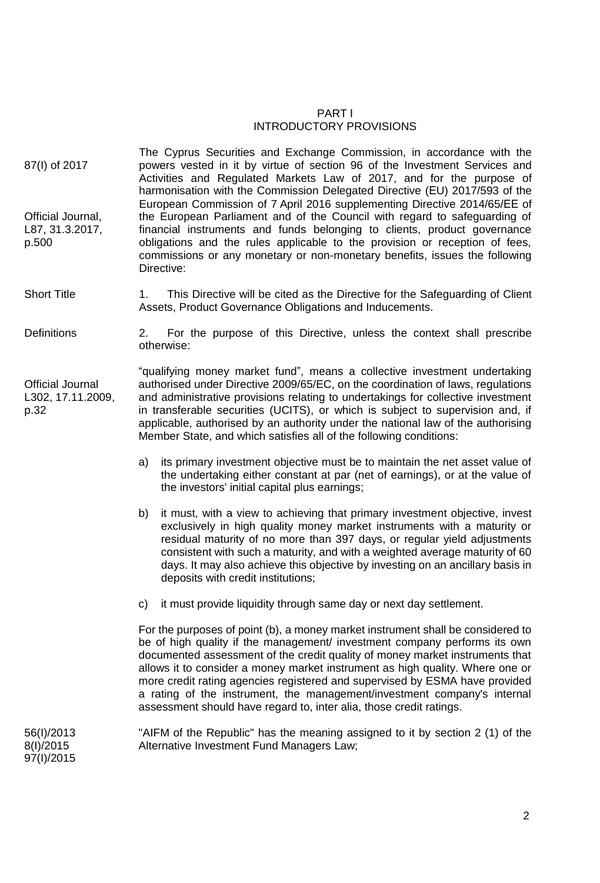# PART Ι INTRODUCTORY PROVISIONS

- 87(I) of 2017 Official Journal, L87, 31.3.2017, p.500 The Cyprus Securities and Exchange Commission, in accordance with the powers vested in it by virtue of section 96 of the Investment Services and Activities and Regulated Markets Law of 2017, and for the purpose of harmonisation with the Commission Delegated Directive (ΕU) 2017/593 of the European Commission of 7 April 2016 supplementing Directive 2014/65/ΕΕ of the European Parliament and of the Council with regard to safeguarding of financial instruments and funds belonging to clients, product governance obligations and the rules applicable to the provision or reception of fees, commissions or any monetary or non-monetary benefits, issues the following Directive:
- Short Title 1. This Directive will be cited as the Directive for the Safeguarding of Client Assets, Product Governance Obligations and Inducements.
- Definitions 2. For the purpose of this Directive, unless the context shall prescribe otherwise:

Official Journal L302, 17.11.2009, p.32

"qualifying money market fund", means a collective investment undertaking authorised under Directive 2009/65/EC, on the coordination of laws, regulations and administrative provisions relating to undertakings for collective investment in transferable securities (UCITS), or which is subject to supervision and, if applicable, authorised by an authority under the national law of the authorising Member State, and which satisfies all of the following conditions:

- a) its primary investment objective must be to maintain the net asset value of the undertaking either constant at par (net of earnings), or at the value of the investors' initial capital plus earnings;
- b) it must, with a view to achieving that primary investment objective, invest exclusively in high quality money market instruments with a maturity or residual maturity of no more than 397 days, or regular yield adjustments consistent with such a maturity, and with a weighted average maturity of 60 days. It may also achieve this objective by investing on an ancillary basis in deposits with credit institutions;
- c) it must provide liquidity through same day or next day settlement.

For the purposes of point (b), a money market instrument shall be considered to be of high quality if the management/ investment company performs its own documented assessment of the credit quality of money market instruments that allows it to consider a money market instrument as high quality. Where one or more credit rating agencies registered and supervised by ESMA have provided a rating of the instrument, the management/investment company's internal assessment should have regard to, inter alia, those credit ratings.

56(I)/2013 8(I)/2015 97(I)/2015 "AIFM of the Republic" has the meaning assigned to it by section 2 (1) of the Alternative Investment Fund Managers Law;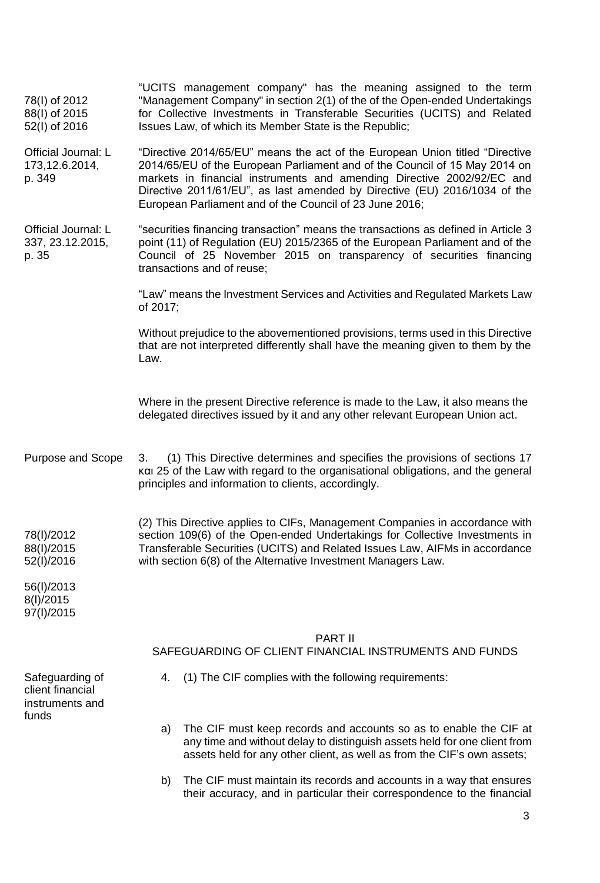| 78(I) of 2012<br>88(I) of 2015<br>52(I) of 2016        | "UCITS management company" has the meaning assigned to the term<br>"Management Company" in section 2(1) of the of the Open-ended Undertakings<br>for Collective Investments in Transferable Securities (UCITS) and Related<br>Issues Law, of which its Member State is the Republic;                                                                                         |
|--------------------------------------------------------|------------------------------------------------------------------------------------------------------------------------------------------------------------------------------------------------------------------------------------------------------------------------------------------------------------------------------------------------------------------------------|
| Official Journal: L<br>173,12.6.2014,<br>p. 349        | "Directive 2014/65/EU" means the act of the European Union titled "Directive<br>2014/65/EU of the European Parliament and of the Council of 15 May 2014 on<br>markets in financial instruments and amending Directive 2002/92/EC and<br>Directive 2011/61/EU", as last amended by Directive (EU) 2016/1034 of the<br>European Parliament and of the Council of 23 June 2016; |
| Official Journal: L<br>337, 23.12.2015,<br>p. 35       | "securities financing transaction" means the transactions as defined in Article 3<br>point (11) of Regulation (EU) 2015/2365 of the European Parliament and of the<br>Council of 25 November 2015 on transparency of securities financing<br>transactions and of reuse;                                                                                                      |
|                                                        | "Law" means the Investment Services and Activities and Regulated Markets Law<br>of 2017;                                                                                                                                                                                                                                                                                     |
|                                                        | Without prejudice to the abovementioned provisions, terms used in this Directive<br>that are not interpreted differently shall have the meaning given to them by the<br>Law.                                                                                                                                                                                                 |
|                                                        | Where in the present Directive reference is made to the Law, it also means the<br>delegated directives issued by it and any other relevant European Union act.                                                                                                                                                                                                               |
| Purpose and Scope                                      | (1) This Directive determines and specifies the provisions of sections 17<br>3.<br>και 25 of the Law with regard to the organisational obligations, and the general<br>principles and information to clients, accordingly.                                                                                                                                                   |
| 78(I)/2012<br>88(I)/2015<br>52(I)/2016                 | (2) This Directive applies to CIFs, Management Companies in accordance with<br>section 109(6) of the Open-ended Undertakings for Collective Investments in<br>Transferable Securities (UCITS) and Related Issues Law, AIFMs in accordance<br>with section 6(8) of the Alternative Investment Managers Law.                                                                   |
| 56(I)/2013<br>8(I)/2015<br>97(I)/2015                  |                                                                                                                                                                                                                                                                                                                                                                              |
|                                                        | PART II<br>SAFEGUARDING OF CLIENT FINANCIAL INSTRUMENTS AND FUNDS                                                                                                                                                                                                                                                                                                            |
| Safeguarding of<br>client financial<br>instruments and | (1) The CIF complies with the following requirements:<br>4.                                                                                                                                                                                                                                                                                                                  |
| funds                                                  | The CIF must keep records and accounts so as to enable the CIF at<br>a)<br>any time and without delay to distinguish assets held for one client from<br>assets held for any other client, as well as from the CIF's own assets;                                                                                                                                              |
|                                                        | The CIF must maintain its records and accounts in a way that ensures<br>b)<br>their accuracy, and in particular their correspondence to the financial                                                                                                                                                                                                                        |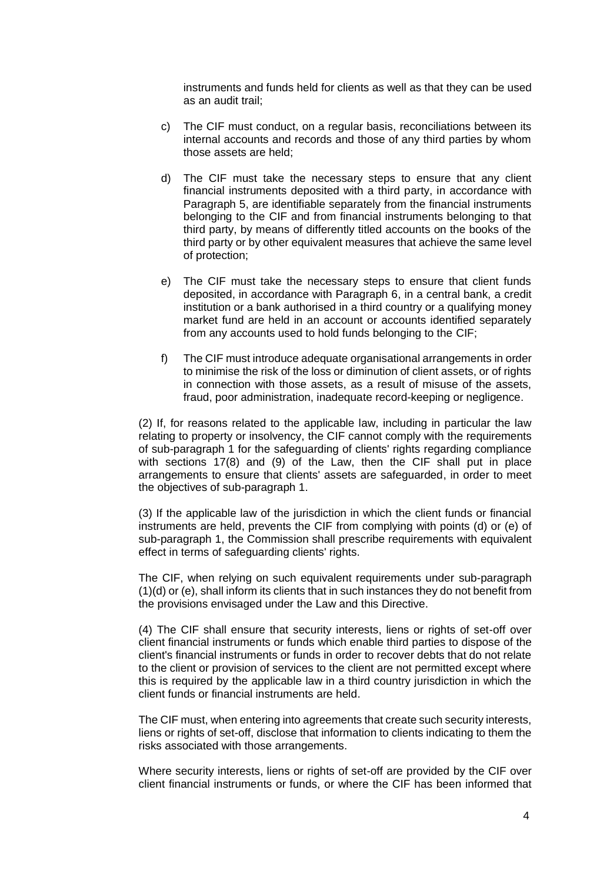instruments and funds held for clients as well as that they can be used as an audit trail;

- c) The CIF must conduct, on a regular basis, reconciliations between its internal accounts and records and those of any third parties by whom those assets are held;
- d) The CIF must take the necessary steps to ensure that any client financial instruments deposited with a third party, in accordance with Paragraph 5, are identifiable separately from the financial instruments belonging to the CIF and from financial instruments belonging to that third party, by means of differently titled accounts on the books of the third party or by other equivalent measures that achieve the same level of protection;
- e) The CIF must take the necessary steps to ensure that client funds deposited, in accordance with Paragraph 6, in a central bank, a credit institution or a bank authorised in a third country or a qualifying money market fund are held in an account or accounts identified separately from any accounts used to hold funds belonging to the CIF;
- f) The CIF must introduce adequate organisational arrangements in order to minimise the risk of the loss or diminution of client assets, or of rights in connection with those assets, as a result of misuse of the assets, fraud, poor administration, inadequate record-keeping or negligence.

(2) If, for reasons related to the applicable law, including in particular the law relating to property or insolvency, the CIF cannot comply with the requirements of sub-paragraph 1 for the safeguarding of clients' rights regarding compliance with sections 17(8) and (9) of the Law, then the CIF shall put in place arrangements to ensure that clients' assets are safeguarded, in order to meet the objectives of sub-paragraph 1.

(3) If the applicable law of the jurisdiction in which the client funds or financial instruments are held, prevents the CIF from complying with points (d) or (e) of sub-paragraph 1, the Commission shall prescribe requirements with equivalent effect in terms of safeguarding clients' rights.

The CIF, when relying on such equivalent requirements under sub-paragraph (1)(d) or (e), shall inform its clients that in such instances they do not benefit from the provisions envisaged under the Law and this Directive.

(4) The CIF shall ensure that security interests, liens or rights of set-off over client financial instruments or funds which enable third parties to dispose of the client's financial instruments or funds in order to recover debts that do not relate to the client or provision of services to the client are not permitted except where this is required by the applicable law in a third country jurisdiction in which the client funds or financial instruments are held.

The CIF must, when entering into agreements that create such security interests, liens or rights of set-off, disclose that information to clients indicating to them the risks associated with those arrangements.

Where security interests, liens or rights of set-off are provided by the CIF over client financial instruments or funds, or where the CIF has been informed that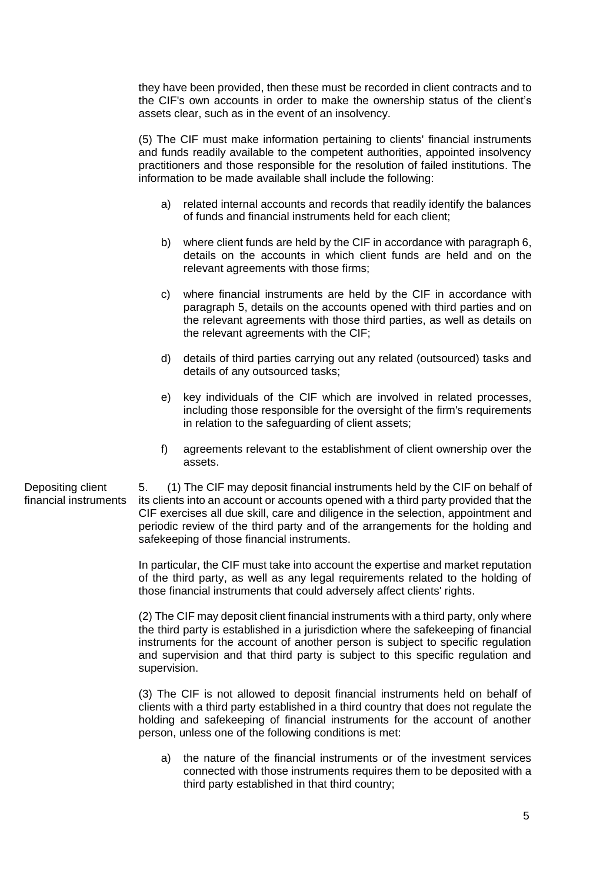they have been provided, then these must be recorded in client contracts and to the CIF's own accounts in order to make the ownership status of the client's assets clear, such as in the event of an insolvency.

(5) The CIF must make information pertaining to clients' financial instruments and funds readily available to the competent authorities, appointed insolvency practitioners and those responsible for the resolution of failed institutions. The information to be made available shall include the following:

- a) related internal accounts and records that readily identify the balances of funds and financial instruments held for each client;
- b) where client funds are held by the CIF in accordance with paragraph 6, details on the accounts in which client funds are held and on the relevant agreements with those firms;
- c) where financial instruments are held by the CIF in accordance with paragraph 5, details on the accounts opened with third parties and on the relevant agreements with those third parties, as well as details on the relevant agreements with the CIF;
- d) details of third parties carrying out any related (outsourced) tasks and details of any outsourced tasks;
- e) key individuals of the CIF which are involved in related processes, including those responsible for the oversight of the firm's requirements in relation to the safeguarding of client assets;
- f) agreements relevant to the establishment of client ownership over the assets.

5. (1) The CIF may deposit financial instruments held by the CIF on behalf of its clients into an account or accounts opened with a third party provided that the CIF exercises all due skill, care and diligence in the selection, appointment and periodic review of the third party and of the arrangements for the holding and safekeeping of those financial instruments.

In particular, the CIF must take into account the expertise and market reputation of the third party, as well as any legal requirements related to the holding of those financial instruments that could adversely affect clients' rights.

(2) The CIF may deposit client financial instruments with a third party, only where the third party is established in a jurisdiction where the safekeeping of financial instruments for the account of another person is subject to specific regulation and supervision and that third party is subject to this specific regulation and supervision.

(3) The CIF is not allowed to deposit financial instruments held on behalf of clients with a third party established in a third country that does not regulate the holding and safekeeping of financial instruments for the account of another person, unless one of the following conditions is met:

a) the nature of the financial instruments or of the investment services connected with those instruments requires them to be deposited with a third party established in that third country;

Depositing client financial instruments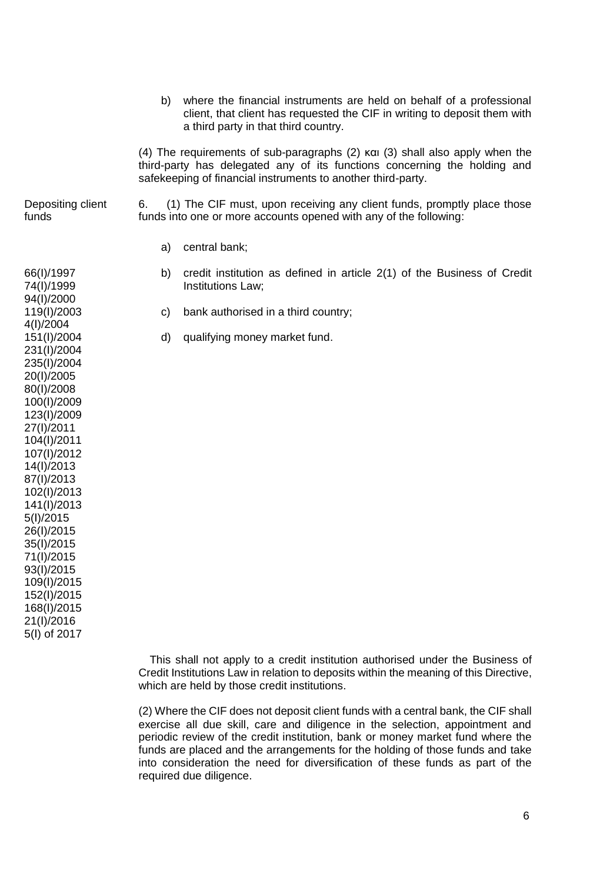b) where the financial instruments are held on behalf of a professional client, that client has requested the CIF in writing to deposit them with a third party in that third country. (4) The requirements of sub-paragraphs (2) και (3) shall also apply when the third-party has delegated any of its functions concerning the holding and safekeeping of financial instruments to another third-party. Depositing client funds 6. (1) The CIF must, upon receiving any client funds, promptly place those funds into one or more accounts opened with any of the following: 66(I)/1997 74(Ι)/1999 94(Ι)/2000 119(Ι)/2003 4(Ι)/2004 151(Ι)/2004 231(Ι)/2004 235(Ι)/2004 20(Ι)/2005 80(Ι)/2008 100(Ι)/2009 123(Ι)/2009 27(Ι)/2011 104(Ι)/2011 107(Ι)/2012 14(Ι)/2013 87(I)/2013 102(I)/2013 141(Ι)/2013 5(Ι)/2015 26(Ι)/2015 35(Ι)/2015 71(Ι)/2015 93(Ι)/2015 109(Ι)/2015 152(Ι)/2015 168(Ι)/2015 21(Ι)/2016 5(Ι) of 2017 a) central bank; b) credit institution as defined in article 2(1) of the Business of Credit Institutions Law; c) bank authorised in a third country; d) qualifying money market fund.

> This shall not apply to a credit institution authorised under the Business of Credit Institutions Law in relation to deposits within the meaning of this Directive, which are held by those credit institutions.

> (2) Where the CIF does not deposit client funds with a central bank, the CIF shall exercise all due skill, care and diligence in the selection, appointment and periodic review of the credit institution, bank or money market fund where the funds are placed and the arrangements for the holding of those funds and take into consideration the need for diversification of these funds as part of the required due diligence.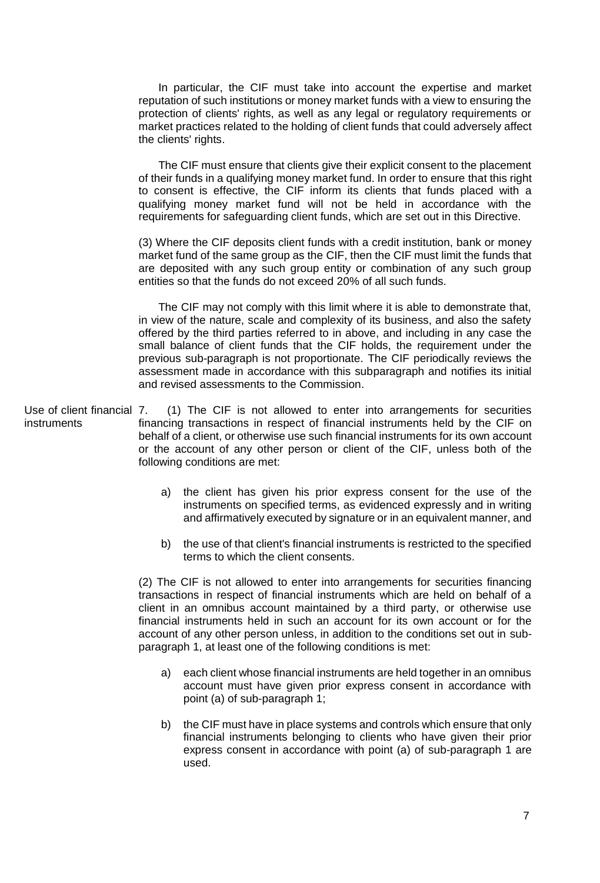In particular, the CIF must take into account the expertise and market reputation of such institutions or money market funds with a view to ensuring the protection of clients' rights, as well as any legal or regulatory requirements or market practices related to the holding of client funds that could adversely affect the clients' rights.

The CIF must ensure that clients give their explicit consent to the placement of their funds in a qualifying money market fund. In order to ensure that this right to consent is effective, the CIF inform its clients that funds placed with a qualifying money market fund will not be held in accordance with the requirements for safeguarding client funds, which are set out in this Directive.

(3) Where the CIF deposits client funds with a credit institution, bank or money market fund of the same group as the CIF, then the CIF must limit the funds that are deposited with any such group entity or combination of any such group entities so that the funds do not exceed 20% of all such funds.

The CIF may not comply with this limit where it is able to demonstrate that, in view of the nature, scale and complexity of its business, and also the safety offered by the third parties referred to in above, and including in any case the small balance of client funds that the CIF holds, the requirement under the previous sub-paragraph is not proportionate. The CIF periodically reviews the assessment made in accordance with this subparagraph and notifies its initial and revised assessments to the Commission.

Use of client financial 7. instruments 7. (1) The CIF is not allowed to enter into arrangements for securities financing transactions in respect of financial instruments held by the CIF on behalf of a client, or otherwise use such financial instruments for its own account or the account of any other person or client of the CIF, unless both of the following conditions are met:

- a) the client has given his prior express consent for the use of the instruments on specified terms, as evidenced expressly and in writing and affirmatively executed by signature or in an equivalent manner, and
- b) the use of that client's financial instruments is restricted to the specified terms to which the client consents.

(2) The CIF is not allowed to enter into arrangements for securities financing transactions in respect of financial instruments which are held on behalf of a client in an omnibus account maintained by a third party, or otherwise use financial instruments held in such an account for its own account or for the account of any other person unless, in addition to the conditions set out in subparagraph 1, at least one of the following conditions is met:

- a) each client whose financial instruments are held together in an omnibus account must have given prior express consent in accordance with point (a) of sub-paragraph 1;
- b) the CIF must have in place systems and controls which ensure that only financial instruments belonging to clients who have given their prior express consent in accordance with point (a) of sub-paragraph 1 are used.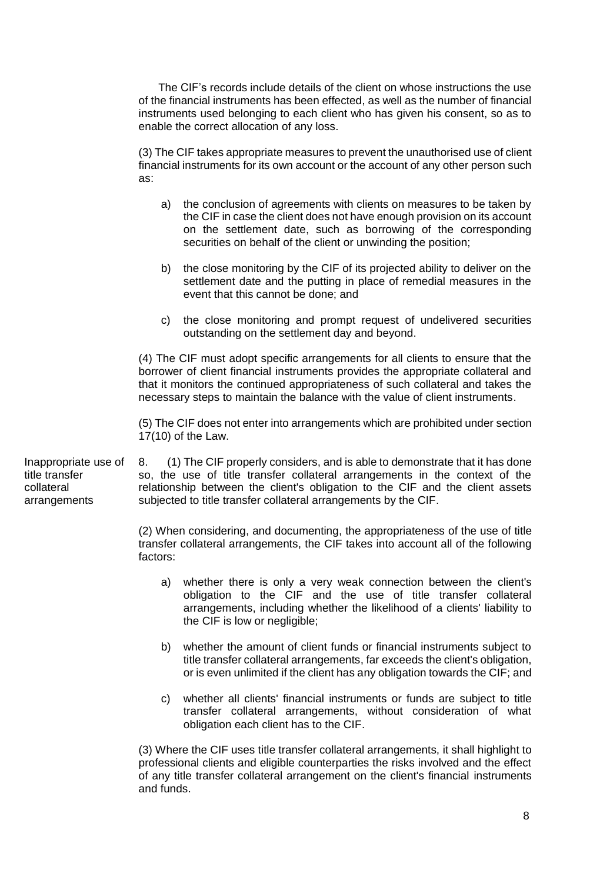The CIF's records include details of the client on whose instructions the use of the financial instruments has been effected, as well as the number of financial instruments used belonging to each client who has given his consent, so as to enable the correct allocation of any loss.

(3) The CIF takes appropriate measures to prevent the unauthorised use of client financial instruments for its own account or the account of any other person such as:

- a) the conclusion of agreements with clients on measures to be taken by the CIF in case the client does not have enough provision on its account on the settlement date, such as borrowing of the corresponding securities on behalf of the client or unwinding the position;
- b) the close monitoring by the CIF of its projected ability to deliver on the settlement date and the putting in place of remedial measures in the event that this cannot be done; and
- c) the close monitoring and prompt request of undelivered securities outstanding on the settlement day and beyond.

(4) The CIF must adopt specific arrangements for all clients to ensure that the borrower of client financial instruments provides the appropriate collateral and that it monitors the continued appropriateness of such collateral and takes the necessary steps to maintain the balance with the value of client instruments.

(5) The CIF does not enter into arrangements which are prohibited under section 17(10) of the Law.

Inappropriate use of title transfer collateral arrangements

8. (1) The CIF properly considers, and is able to demonstrate that it has done so, the use of title transfer collateral arrangements in the context of the relationship between the client's obligation to the CIF and the client assets subjected to title transfer collateral arrangements by the CIF.

(2) When considering, and documenting, the appropriateness of the use of title transfer collateral arrangements, the CIF takes into account all of the following factors:

- a) whether there is only a very weak connection between the client's obligation to the CIF and the use of title transfer collateral arrangements, including whether the likelihood of a clients' liability to the CIF is low or negligible;
- b) whether the amount of client funds or financial instruments subject to title transfer collateral arrangements, far exceeds the client's obligation, or is even unlimited if the client has any obligation towards the CIF; and
- c) whether all clients' financial instruments or funds are subject to title transfer collateral arrangements, without consideration of what obligation each client has to the CIF.

(3) Where the CIF uses title transfer collateral arrangements, it shall highlight to professional clients and eligible counterparties the risks involved and the effect of any title transfer collateral arrangement on the client's financial instruments and funds.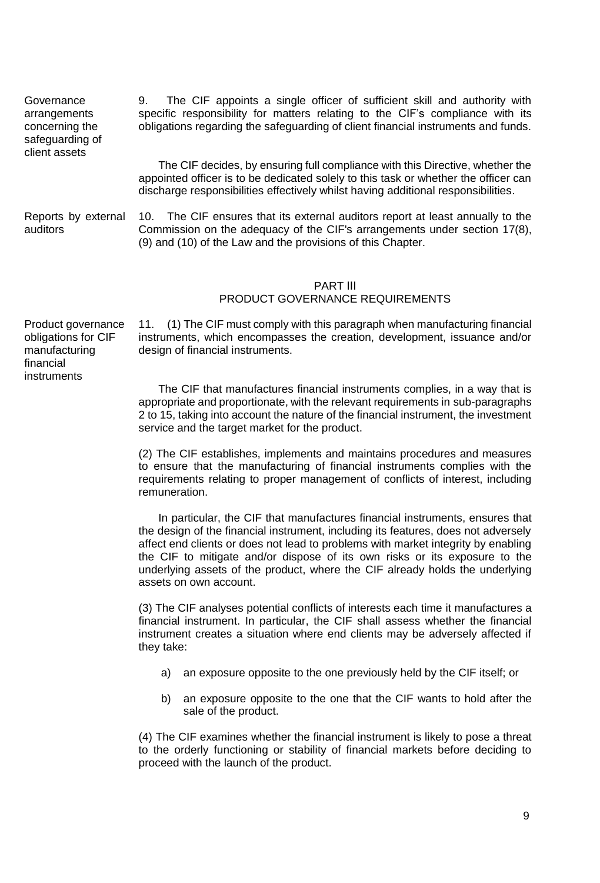Governance arrangements concerning the safeguarding of client assets

9. The CIF appoints a single officer of sufficient skill and authority with specific responsibility for matters relating to the CIF's compliance with its obligations regarding the safeguarding of client financial instruments and funds.

The CIF decides, by ensuring full compliance with this Directive, whether the appointed officer is to be dedicated solely to this task or whether the officer can discharge responsibilities effectively whilst having additional responsibilities.

Reports by external auditors 10. The CIF ensures that its external auditors report at least annually to the Commission on the adequacy of the CIF's arrangements under section 17(8), (9) and (10) of the Law and the provisions of this Chapter.

### PART ΙΙΙ PRODUCT GOVERNANCE REQUIREMENTS

Product governance obligations for CIF manufacturing financial instruments

11. (1) The CIF must comply with this paragraph when manufacturing financial instruments, which encompasses the creation, development, issuance and/or design of financial instruments.

The CIF that manufactures financial instruments complies, in a way that is appropriate and proportionate, with the relevant requirements in sub-paragraphs 2 to 15, taking into account the nature of the financial instrument, the investment service and the target market for the product.

(2) The CIF establishes, implements and maintains procedures and measures to ensure that the manufacturing of financial instruments complies with the requirements relating to proper management of conflicts of interest, including remuneration.

In particular, the CIF that manufactures financial instruments, ensures that the design of the financial instrument, including its features, does not adversely affect end clients or does not lead to problems with market integrity by enabling the CIF to mitigate and/or dispose of its own risks or its exposure to the underlying assets of the product, where the CIF already holds the underlying assets on own account.

(3) The CIF analyses potential conflicts of interests each time it manufactures a financial instrument. In particular, the CIF shall assess whether the financial instrument creates a situation where end clients may be adversely affected if they take:

- a) an exposure opposite to the one previously held by the CIF itself; or
- b) an exposure opposite to the one that the CIF wants to hold after the sale of the product.

(4) The CIF examines whether the financial instrument is likely to pose a threat to the orderly functioning or stability of financial markets before deciding to proceed with the launch of the product.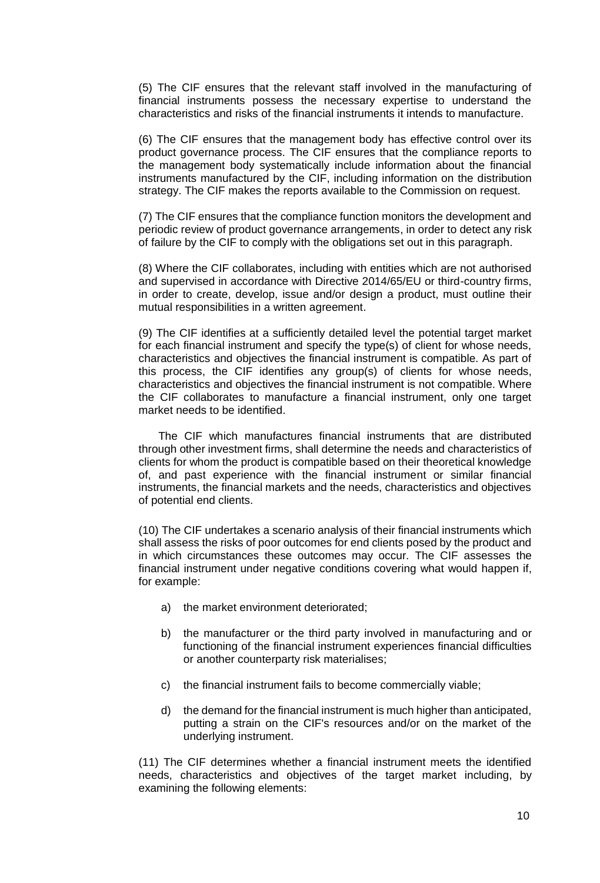(5) The CIF ensures that the relevant staff involved in the manufacturing of financial instruments possess the necessary expertise to understand the characteristics and risks of the financial instruments it intends to manufacture.

(6) The CIF ensures that the management body has effective control over its product governance process. The CIF ensures that the compliance reports to the management body systematically include information about the financial instruments manufactured by the CIF, including information on the distribution strategy. The CIF makes the reports available to the Commission on request.

(7) The CIF ensures that the compliance function monitors the development and periodic review of product governance arrangements, in order to detect any risk of failure by the CIF to comply with the obligations set out in this paragraph.

(8) Where the CIF collaborates, including with entities which are not authorised and supervised in accordance with Directive 2014/65/EU or third-country firms, in order to create, develop, issue and/or design a product, must outline their mutual responsibilities in a written agreement.

(9) The CIF identifies at a sufficiently detailed level the potential target market for each financial instrument and specify the type(s) of client for whose needs, characteristics and objectives the financial instrument is compatible. As part of this process, the CIF identifies any group(s) of clients for whose needs, characteristics and objectives the financial instrument is not compatible. Where the CIF collaborates to manufacture a financial instrument, only one target market needs to be identified.

The CIF which manufactures financial instruments that are distributed through other investment firms, shall determine the needs and characteristics of clients for whom the product is compatible based on their theoretical knowledge of, and past experience with the financial instrument or similar financial instruments, the financial markets and the needs, characteristics and objectives of potential end clients.

(10) The CIF undertakes a scenario analysis of their financial instruments which shall assess the risks of poor outcomes for end clients posed by the product and in which circumstances these outcomes may occur. The CIF assesses the financial instrument under negative conditions covering what would happen if, for example:

- a) the market environment deteriorated;
- b) the manufacturer or the third party involved in manufacturing and or functioning of the financial instrument experiences financial difficulties or another counterparty risk materialises;
- c) the financial instrument fails to become commercially viable;
- d) the demand for the financial instrument is much higher than anticipated, putting a strain on the CIF's resources and/or on the market of the underlying instrument.

(11) The CIF determines whether a financial instrument meets the identified needs, characteristics and objectives of the target market including, by examining the following elements: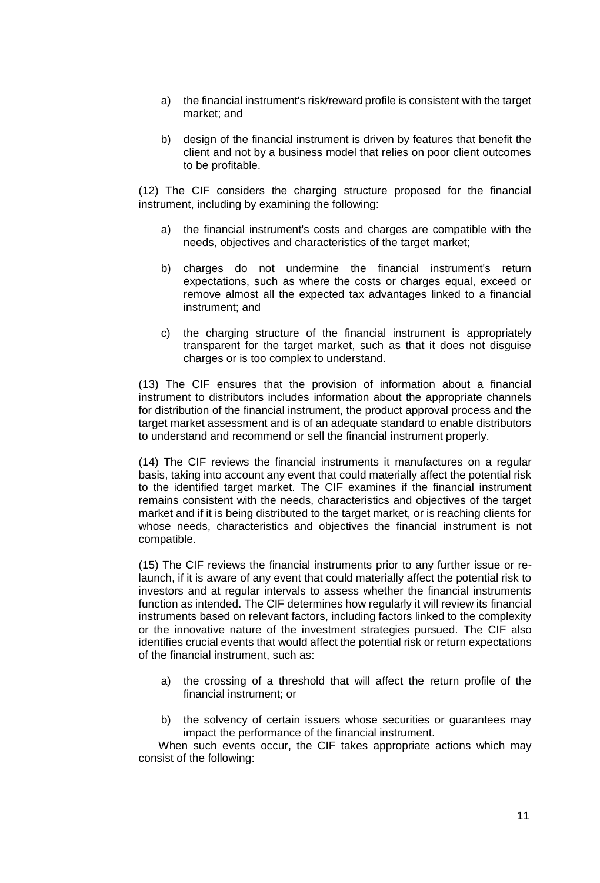- a) the financial instrument's risk/reward profile is consistent with the target market; and
- b) design of the financial instrument is driven by features that benefit the client and not by a business model that relies on poor client outcomes to be profitable.

(12) The CIF considers the charging structure proposed for the financial instrument, including by examining the following:

- a) the financial instrument's costs and charges are compatible with the needs, objectives and characteristics of the target market;
- b) charges do not undermine the financial instrument's return expectations, such as where the costs or charges equal, exceed or remove almost all the expected tax advantages linked to a financial instrument; and
- c) the charging structure of the financial instrument is appropriately transparent for the target market, such as that it does not disguise charges or is too complex to understand.

(13) The CIF ensures that the provision of information about a financial instrument to distributors includes information about the appropriate channels for distribution of the financial instrument, the product approval process and the target market assessment and is of an adequate standard to enable distributors to understand and recommend or sell the financial instrument properly.

(14) The CIF reviews the financial instruments it manufactures on a regular basis, taking into account any event that could materially affect the potential risk to the identified target market. The CIF examines if the financial instrument remains consistent with the needs, characteristics and objectives of the target market and if it is being distributed to the target market, or is reaching clients for whose needs, characteristics and objectives the financial instrument is not compatible.

(15) The CIF reviews the financial instruments prior to any further issue or relaunch, if it is aware of any event that could materially affect the potential risk to investors and at regular intervals to assess whether the financial instruments function as intended. The CIF determines how regularly it will review its financial instruments based on relevant factors, including factors linked to the complexity or the innovative nature of the investment strategies pursued. The CIF also identifies crucial events that would affect the potential risk or return expectations of the financial instrument, such as:

- a) the crossing of a threshold that will affect the return profile of the financial instrument; or
- b) the solvency of certain issuers whose securities or quarantees may impact the performance of the financial instrument.

When such events occur, the CIF takes appropriate actions which may consist of the following: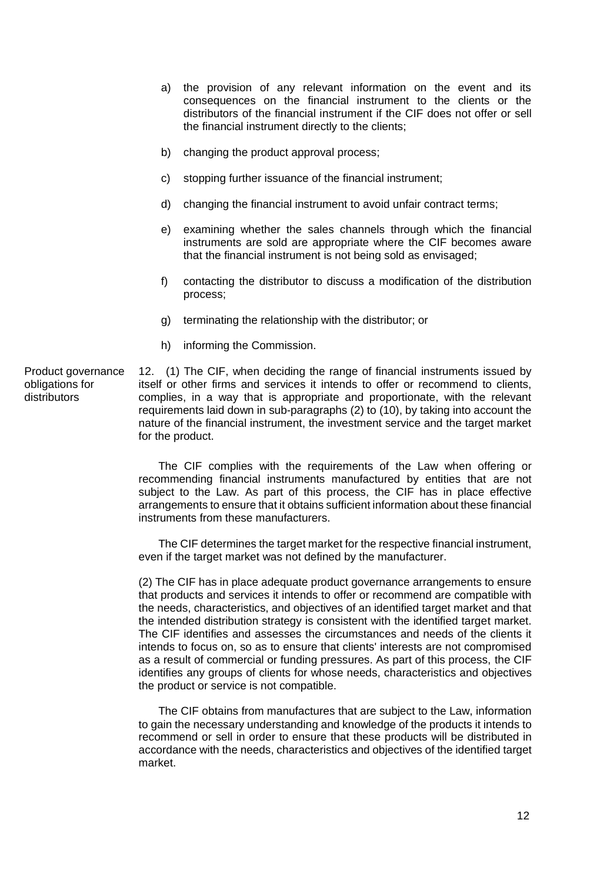- a) the provision of any relevant information on the event and its consequences on the financial instrument to the clients or the distributors of the financial instrument if the CIF does not offer or sell the financial instrument directly to the clients;
- b) changing the product approval process;
- c) stopping further issuance of the financial instrument;
- d) changing the financial instrument to avoid unfair contract terms;
- e) examining whether the sales channels through which the financial instruments are sold are appropriate where the CIF becomes aware that the financial instrument is not being sold as envisaged;
- f) contacting the distributor to discuss a modification of the distribution process;
- g) terminating the relationship with the distributor; or
- h) informing the Commission.

12. (1) The CIF, when deciding the range of financial instruments issued by itself or other firms and services it intends to offer or recommend to clients, complies, in a way that is appropriate and proportionate, with the relevant requirements laid down in sub-paragraphs (2) to (10), by taking into account the nature of the financial instrument, the investment service and the target market for the product.

The CIF complies with the requirements of the Law when offering or recommending financial instruments manufactured by entities that are not subject to the Law. As part of this process, the CIF has in place effective arrangements to ensure that it obtains sufficient information about these financial instruments from these manufacturers.

The CIF determines the target market for the respective financial instrument, even if the target market was not defined by the manufacturer.

(2) The CIF has in place adequate product governance arrangements to ensure that products and services it intends to offer or recommend are compatible with the needs, characteristics, and objectives of an identified target market and that the intended distribution strategy is consistent with the identified target market. The CIF identifies and assesses the circumstances and needs of the clients it intends to focus on, so as to ensure that clients' interests are not compromised as a result of commercial or funding pressures. As part of this process, the CIF identifies any groups of clients for whose needs, characteristics and objectives the product or service is not compatible.

The CIF obtains from manufactures that are subject to the Law, information to gain the necessary understanding and knowledge of the products it intends to recommend or sell in order to ensure that these products will be distributed in accordance with the needs, characteristics and objectives of the identified target market.

Product governance obligations for distributors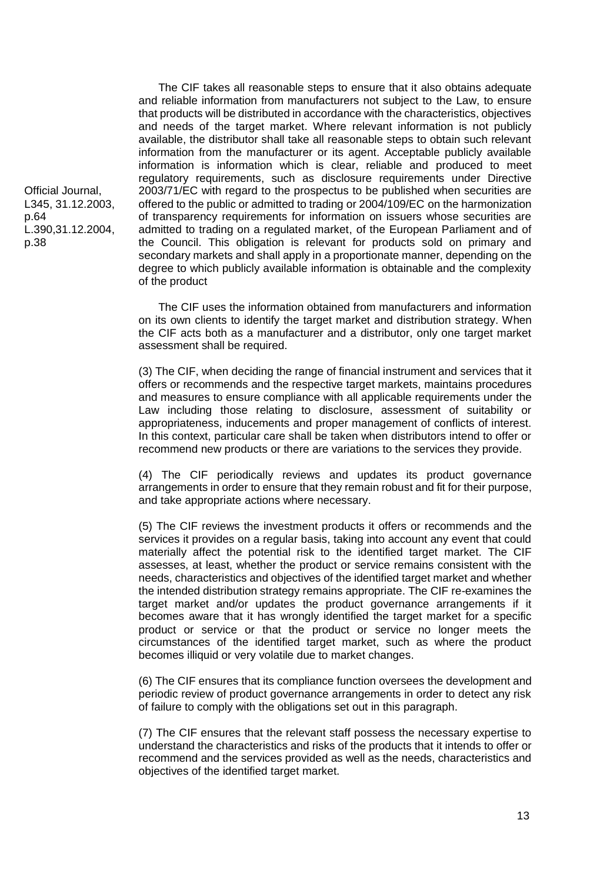The CIF takes all reasonable steps to ensure that it also obtains adequate and reliable information from manufacturers not subject to the Law, to ensure that products will be distributed in accordance with the characteristics, objectives and needs of the target market. Where relevant information is not publicly available, the distributor shall take all reasonable steps to obtain such relevant information from the manufacturer or its agent. Acceptable publicly available information is information which is clear, reliable and produced to meet regulatory requirements, such as disclosure requirements under Directive 2003/71/EC with regard to the prospectus to be published when securities are offered to the public or admitted to trading or 2004/109/EC on the harmonization of transparency requirements for information on issuers whose securities are admitted to trading on a regulated market, of the European Parliament and of the Council. This obligation is relevant for products sold on primary and secondary markets and shall apply in a proportionate manner, depending on the degree to which publicly available information is obtainable and the complexity of the product

The CIF uses the information obtained from manufacturers and information on its own clients to identify the target market and distribution strategy. When the CIF acts both as a manufacturer and a distributor, only one target market assessment shall be required.

(3) The CIF, when deciding the range of financial instrument and services that it offers or recommends and the respective target markets, maintains procedures and measures to ensure compliance with all applicable requirements under the Law including those relating to disclosure, assessment of suitability or appropriateness, inducements and proper management of conflicts of interest. In this context, particular care shall be taken when distributors intend to offer or recommend new products or there are variations to the services they provide.

(4) The CIF periodically reviews and updates its product governance arrangements in order to ensure that they remain robust and fit for their purpose, and take appropriate actions where necessary.

(5) The CIF reviews the investment products it offers or recommends and the services it provides on a regular basis, taking into account any event that could materially affect the potential risk to the identified target market. The CIF assesses, at least, whether the product or service remains consistent with the needs, characteristics and objectives of the identified target market and whether the intended distribution strategy remains appropriate. The CIF re-examines the target market and/or updates the product governance arrangements if it becomes aware that it has wrongly identified the target market for a specific product or service or that the product or service no longer meets the circumstances of the identified target market, such as where the product becomes illiquid or very volatile due to market changes.

(6) The CIF ensures that its compliance function oversees the development and periodic review of product governance arrangements in order to detect any risk of failure to comply with the obligations set out in this paragraph.

(7) The CIF ensures that the relevant staff possess the necessary expertise to understand the characteristics and risks of the products that it intends to offer or recommend and the services provided as well as the needs, characteristics and objectives of the identified target market.

Official Journal, L345, 31.12.2003, p.64 L.390,31.12.2004, p.38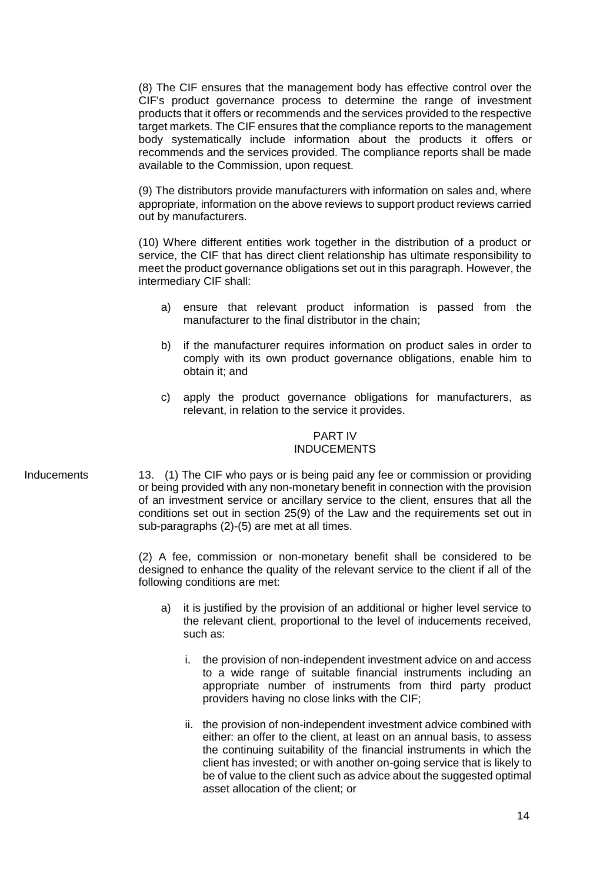(8) The CIF ensures that the management body has effective control over the CIF's product governance process to determine the range of investment products that it offers or recommends and the services provided to the respective target markets. The CIF ensures that the compliance reports to the management body systematically include information about the products it offers or recommends and the services provided. The compliance reports shall be made available to the Commission, upon request.

(9) The distributors provide manufacturers with information on sales and, where appropriate, information on the above reviews to support product reviews carried out by manufacturers.

(10) Where different entities work together in the distribution of a product or service, the CIF that has direct client relationship has ultimate responsibility to meet the product governance obligations set out in this paragraph. However, the intermediary CIF shall:

- a) ensure that relevant product information is passed from the manufacturer to the final distributor in the chain;
- b) if the manufacturer requires information on product sales in order to comply with its own product governance obligations, enable him to obtain it; and
- c) apply the product governance obligations for manufacturers, as relevant, in relation to the service it provides.

### PART IV INDUCEMENTS

Inducements 13. (1) The CIF who pays or is being paid any fee or commission or providing or being provided with any non-monetary benefit in connection with the provision of an investment service or ancillary service to the client, ensures that all the conditions set out in section 25(9) of the Law and the requirements set out in sub-paragraphs (2)-(5) are met at all times.

> (2) A fee, commission or non-monetary benefit shall be considered to be designed to enhance the quality of the relevant service to the client if all of the following conditions are met:

- a) it is justified by the provision of an additional or higher level service to the relevant client, proportional to the level of inducements received, such as:
	- i. the provision of non-independent investment advice on and access to a wide range of suitable financial instruments including an appropriate number of instruments from third party product providers having no close links with the CIF;
	- ii. the provision of non-independent investment advice combined with either: an offer to the client, at least on an annual basis, to assess the continuing suitability of the financial instruments in which the client has invested; or with another on-going service that is likely to be of value to the client such as advice about the suggested optimal asset allocation of the client; or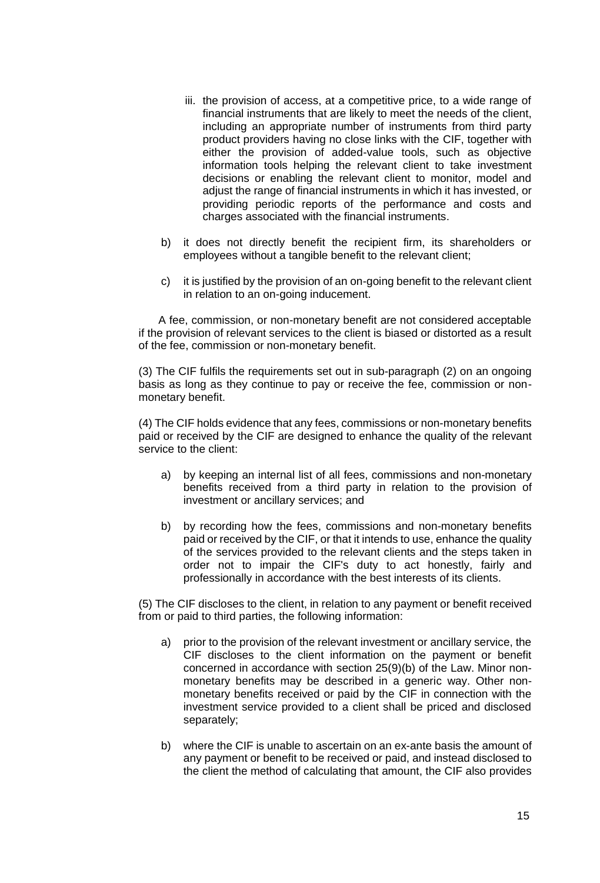- iii. the provision of access, at a competitive price, to a wide range of financial instruments that are likely to meet the needs of the client, including an appropriate number of instruments from third party product providers having no close links with the CIF, together with either the provision of added-value tools, such as objective information tools helping the relevant client to take investment decisions or enabling the relevant client to monitor, model and adjust the range of financial instruments in which it has invested, or providing periodic reports of the performance and costs and charges associated with the financial instruments.
- b) it does not directly benefit the recipient firm, its shareholders or employees without a tangible benefit to the relevant client;
- c) it is justified by the provision of an on-going benefit to the relevant client in relation to an on-going inducement.

A fee, commission, or non-monetary benefit are not considered acceptable if the provision of relevant services to the client is biased or distorted as a result of the fee, commission or non-monetary benefit.

(3) The CIF fulfils the requirements set out in sub-paragraph (2) on an ongoing basis as long as they continue to pay or receive the fee, commission or nonmonetary benefit.

(4) The CIF holds evidence that any fees, commissions or non-monetary benefits paid or received by the CIF are designed to enhance the quality of the relevant service to the client:

- a) by keeping an internal list of all fees, commissions and non-monetary benefits received from a third party in relation to the provision of investment or ancillary services; and
- b) by recording how the fees, commissions and non-monetary benefits paid or received by the CIF, or that it intends to use, enhance the quality of the services provided to the relevant clients and the steps taken in order not to impair the CIF's duty to act honestly, fairly and professionally in accordance with the best interests of its clients.

(5) The CIF discloses to the client, in relation to any payment or benefit received from or paid to third parties, the following information:

- a) prior to the provision of the relevant investment or ancillary service, the CIF discloses to the client information on the payment or benefit concerned in accordance with section 25(9)(b) of the Law. Minor nonmonetary benefits may be described in a generic way. Other nonmonetary benefits received or paid by the CIF in connection with the investment service provided to a client shall be priced and disclosed separately;
- b) where the CIF is unable to ascertain on an ex-ante basis the amount of any payment or benefit to be received or paid, and instead disclosed to the client the method of calculating that amount, the CIF also provides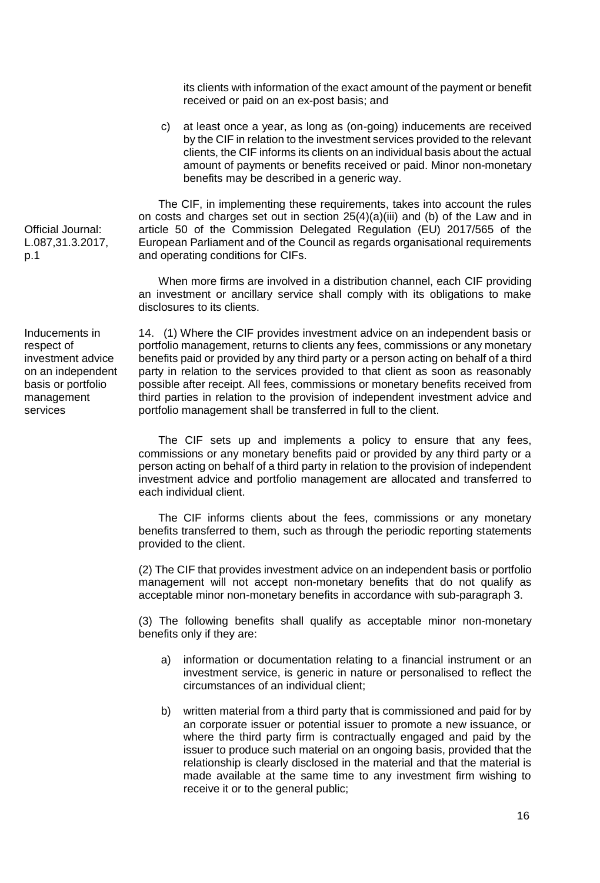Official Journal: L.087,31.3.2017, p.1

Inducements in respect of investment advice on an independent basis or portfolio management services

its clients with information of the exact amount of the payment or benefit received or paid on an ex-post basis; and

c) at least once a year, as long as (on-going) inducements are received by the CIF in relation to the investment services provided to the relevant clients, the CIF informs its clients on an individual basis about the actual amount of payments or benefits received or paid. Minor non-monetary benefits may be described in a generic way.

The CIF, in implementing these requirements, takes into account the rules on costs and charges set out in section  $25(4)(a)(iii)$  and (b) of the Law and in article 50 of the Commission Delegated Regulation (EU) 2017/565 of the European Parliament and of the Council as regards organisational requirements and operating conditions for CIFs.

When more firms are involved in a distribution channel, each CIF providing an investment or ancillary service shall comply with its obligations to make disclosures to its clients.

14. (1) Where the CIF provides investment advice on an independent basis or portfolio management, returns to clients any fees, commissions or any monetary benefits paid or provided by any third party or a person acting on behalf of a third party in relation to the services provided to that client as soon as reasonably possible after receipt. All fees, commissions or monetary benefits received from third parties in relation to the provision of independent investment advice and portfolio management shall be transferred in full to the client.

The CIF sets up and implements a policy to ensure that any fees, commissions or any monetary benefits paid or provided by any third party or a person acting on behalf of a third party in relation to the provision of independent investment advice and portfolio management are allocated and transferred to

The CIF informs clients about the fees, commissions or any monetary benefits transferred to them, such as through the periodic reporting statements provided to the client.

(2) The CIF that provides investment advice on an independent basis or portfolio management will not accept non-monetary benefits that do not qualify as acceptable minor non-monetary benefits in accordance with sub-paragraph 3.

(3) The following benefits shall qualify as acceptable minor non-monetary benefits only if they are:

- a) information or documentation relating to a financial instrument or an investment service, is generic in nature or personalised to reflect the circumstances of an individual client;
- b) written material from a third party that is commissioned and paid for by an corporate issuer or potential issuer to promote a new issuance, or where the third party firm is contractually engaged and paid by the issuer to produce such material on an ongoing basis, provided that the relationship is clearly disclosed in the material and that the material is made available at the same time to any investment firm wishing to receive it or to the general public;

each individual client.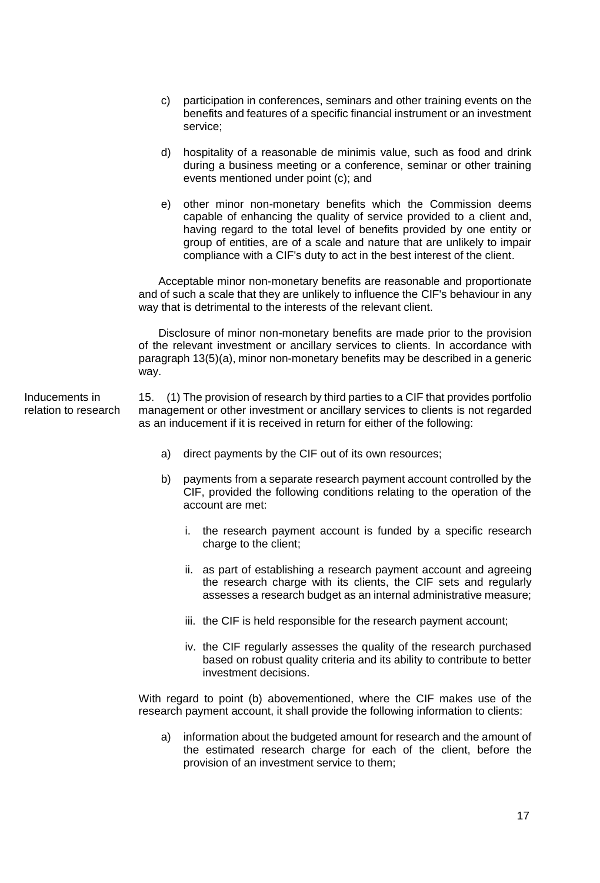- c) participation in conferences, seminars and other training events on the benefits and features of a specific financial instrument or an investment service;
- d) hospitality of a reasonable de minimis value, such as food and drink during a business meeting or a conference, seminar or other training events mentioned under point (c); and
- e) other minor non-monetary benefits which the Commission deems capable of enhancing the quality of service provided to a client and, having regard to the total level of benefits provided by one entity or group of entities, are of a scale and nature that are unlikely to impair compliance with a CIF's duty to act in the best interest of the client.

 Acceptable minor non-monetary benefits are reasonable and proportionate and of such a scale that they are unlikely to influence the CIF's behaviour in any way that is detrimental to the interests of the relevant client.

 Disclosure of minor non-monetary benefits are made prior to the provision of the relevant investment or ancillary services to clients. In accordance with paragraph 13(5)(a), minor non-monetary benefits may be described in a generic way.

Inducements in relation to research 15. (1) The provision of research by third parties to a CIF that provides portfolio management or other investment or ancillary services to clients is not regarded as an inducement if it is received in return for either of the following:

- a) direct payments by the CIF out of its own resources;
- b) payments from a separate research payment account controlled by the CIF, provided the following conditions relating to the operation of the account are met:
	- i. the research payment account is funded by a specific research charge to the client;
	- ii. as part of establishing a research payment account and agreeing the research charge with its clients, the CIF sets and regularly assesses a research budget as an internal administrative measure;
	- iii. the CIF is held responsible for the research payment account;
	- iv. the CIF regularly assesses the quality of the research purchased based on robust quality criteria and its ability to contribute to better investment decisions.

With regard to point (b) abovementioned, where the CIF makes use of the research payment account, it shall provide the following information to clients:

a) information about the budgeted amount for research and the amount of the estimated research charge for each of the client, before the provision of an investment service to them;

17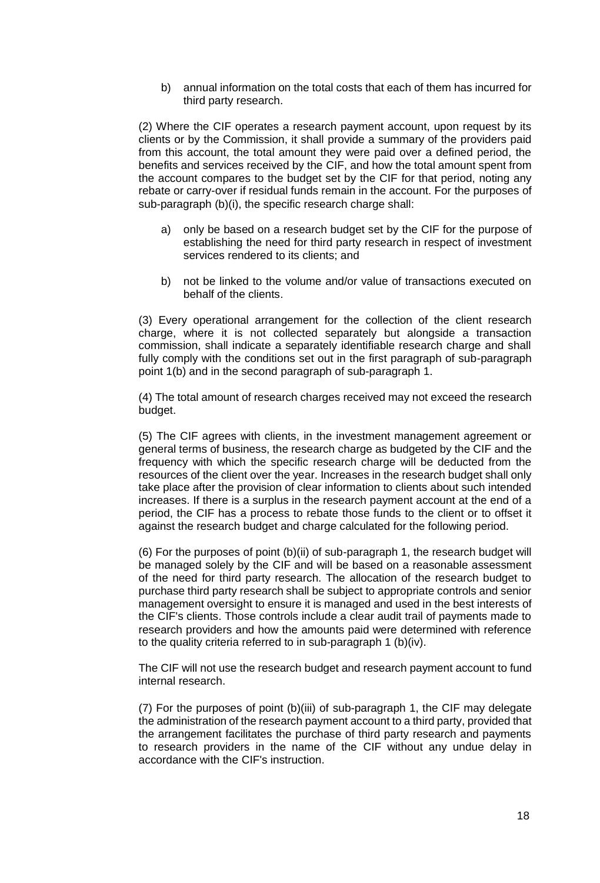b) annual information on the total costs that each of them has incurred for third party research.

(2) Where the CIF operates a research payment account, upon request by its clients or by the Commission, it shall provide a summary of the providers paid from this account, the total amount they were paid over a defined period, the benefits and services received by the CIF, and how the total amount spent from the account compares to the budget set by the CIF for that period, noting any rebate or carry-over if residual funds remain in the account. For the purposes of sub-paragraph (b)(i), the specific research charge shall:

- a) only be based on a research budget set by the CIF for the purpose of establishing the need for third party research in respect of investment services rendered to its clients; and
- b) not be linked to the volume and/or value of transactions executed on behalf of the clients.

(3) Every operational arrangement for the collection of the client research charge, where it is not collected separately but alongside a transaction commission, shall indicate a separately identifiable research charge and shall fully comply with the conditions set out in the first paragraph of sub-paragraph point 1(b) and in the second paragraph of sub-paragraph 1.

(4) The total amount of research charges received may not exceed the research budget.

(5) The CIF agrees with clients, in the investment management agreement or general terms of business, the research charge as budgeted by the CIF and the frequency with which the specific research charge will be deducted from the resources of the client over the year. Increases in the research budget shall only take place after the provision of clear information to clients about such intended increases. If there is a surplus in the research payment account at the end of a period, the CIF has a process to rebate those funds to the client or to offset it against the research budget and charge calculated for the following period.

(6) For the purposes of point (b)(ii) of sub-paragraph 1, the research budget will be managed solely by the CIF and will be based on a reasonable assessment of the need for third party research. The allocation of the research budget to purchase third party research shall be subject to appropriate controls and senior management oversight to ensure it is managed and used in the best interests of the CIF's clients. Those controls include a clear audit trail of payments made to research providers and how the amounts paid were determined with reference to the quality criteria referred to in sub-paragraph 1 (b)(iv).

The CIF will not use the research budget and research payment account to fund internal research.

(7) For the purposes of point (b)(iii) of sub-paragraph 1, the CIF may delegate the administration of the research payment account to a third party, provided that the arrangement facilitates the purchase of third party research and payments to research providers in the name of the CIF without any undue delay in accordance with the CIF's instruction.